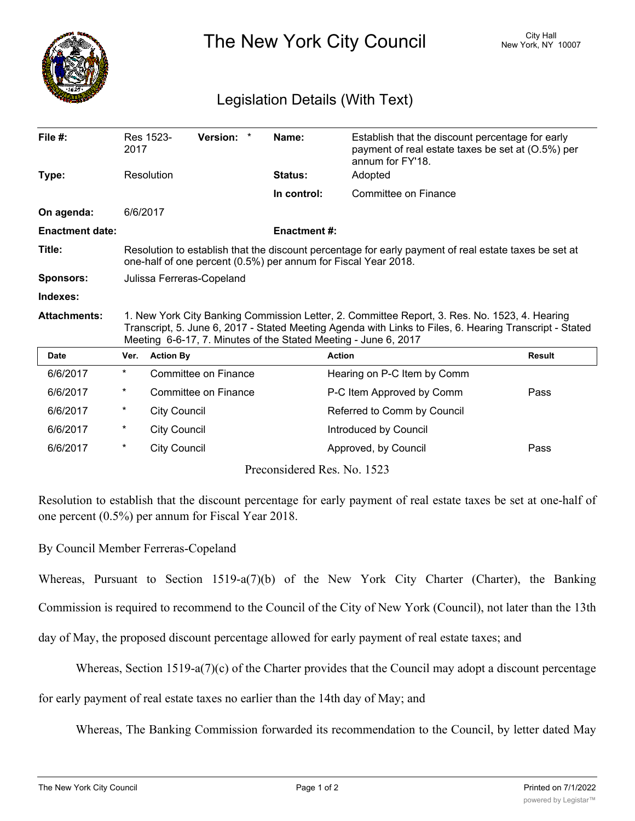

The New York City Council New York, NY 10007

## Legislation Details (With Text)

| File $#$ :             | 2017                                                                                                                                                                                                                                                                        | Res 1523-           | Version: *           |  | Name:                                                                                                                                                                                                 | Establish that the discount percentage for early<br>payment of real estate taxes be set at (0.5%) per<br>annum for FY'18. |               |
|------------------------|-----------------------------------------------------------------------------------------------------------------------------------------------------------------------------------------------------------------------------------------------------------------------------|---------------------|----------------------|--|-------------------------------------------------------------------------------------------------------------------------------------------------------------------------------------------------------|---------------------------------------------------------------------------------------------------------------------------|---------------|
| Type:                  | Resolution                                                                                                                                                                                                                                                                  |                     |                      |  | <b>Status:</b>                                                                                                                                                                                        | Adopted                                                                                                                   |               |
|                        |                                                                                                                                                                                                                                                                             |                     |                      |  | In control:                                                                                                                                                                                           | Committee on Finance                                                                                                      |               |
| On agenda:             | 6/6/2017                                                                                                                                                                                                                                                                    |                     |                      |  |                                                                                                                                                                                                       |                                                                                                                           |               |
| <b>Enactment date:</b> |                                                                                                                                                                                                                                                                             |                     |                      |  | <b>Enactment #:</b>                                                                                                                                                                                   |                                                                                                                           |               |
| Title:                 | Resolution to establish that the discount percentage for early payment of real estate taxes be set at<br>one-half of one percent (0.5%) per annum for Fiscal Year 2018.                                                                                                     |                     |                      |  |                                                                                                                                                                                                       |                                                                                                                           |               |
| <b>Sponsors:</b>       | Julissa Ferreras-Copeland                                                                                                                                                                                                                                                   |                     |                      |  |                                                                                                                                                                                                       |                                                                                                                           |               |
| Indexes:               |                                                                                                                                                                                                                                                                             |                     |                      |  |                                                                                                                                                                                                       |                                                                                                                           |               |
| <b>Attachments:</b>    | 1. New York City Banking Commission Letter, 2. Committee Report, 3. Res. No. 1523, 4. Hearing<br>Transcript, 5. June 6, 2017 - Stated Meeting Agenda with Links to Files, 6. Hearing Transcript - Stated<br>Meeting 6-6-17, 7. Minutes of the Stated Meeting - June 6, 2017 |                     |                      |  |                                                                                                                                                                                                       |                                                                                                                           |               |
| <b>Date</b>            | Ver.                                                                                                                                                                                                                                                                        | <b>Action By</b>    |                      |  |                                                                                                                                                                                                       | <b>Action</b>                                                                                                             | <b>Result</b> |
| 6/6/2017               | $^\star$                                                                                                                                                                                                                                                                    |                     | Committee on Finance |  |                                                                                                                                                                                                       | Hearing on P-C Item by Comm                                                                                               |               |
| 6/6/2017               | $\ast$                                                                                                                                                                                                                                                                      |                     | Committee on Finance |  |                                                                                                                                                                                                       | P-C Item Approved by Comm                                                                                                 | Pass          |
| 6/6/2017               | $^\star$                                                                                                                                                                                                                                                                    | <b>City Council</b> |                      |  |                                                                                                                                                                                                       | Referred to Comm by Council                                                                                               |               |
| 6/6/2017               | $^\ast$                                                                                                                                                                                                                                                                     | <b>City Council</b> |                      |  |                                                                                                                                                                                                       | Introduced by Council                                                                                                     |               |
| 6/6/2017               | $^\star$                                                                                                                                                                                                                                                                    | <b>City Council</b> |                      |  |                                                                                                                                                                                                       | Approved, by Council                                                                                                      | Pass          |
|                        |                                                                                                                                                                                                                                                                             |                     |                      |  | $D_{\text{measured}}$ $\lambda_{\text{em}}$ $\lambda_{\text{em}}$ $\lambda_{\text{em}}$ $\lambda_{\text{em}}$ $\lambda_{\text{em}}$ $\lambda_{\text{em}}$ $\lambda_{\text{em}}$ $\lambda_{\text{em}}$ |                                                                                                                           |               |

Preconsidered Res. No. 1523

Resolution to establish that the discount percentage for early payment of real estate taxes be set at one-half of one percent (0.5%) per annum for Fiscal Year 2018.

## By Council Member Ferreras-Copeland

Whereas, Pursuant to Section 1519-a(7)(b) of the New York City Charter (Charter), the Banking Commission is required to recommend to the Council of the City of New York (Council), not later than the 13th

day of May, the proposed discount percentage allowed for early payment of real estate taxes; and

Whereas, Section 1519-a(7)(c) of the Charter provides that the Council may adopt a discount percentage

for early payment of real estate taxes no earlier than the 14th day of May; and

Whereas, The Banking Commission forwarded its recommendation to the Council, by letter dated May